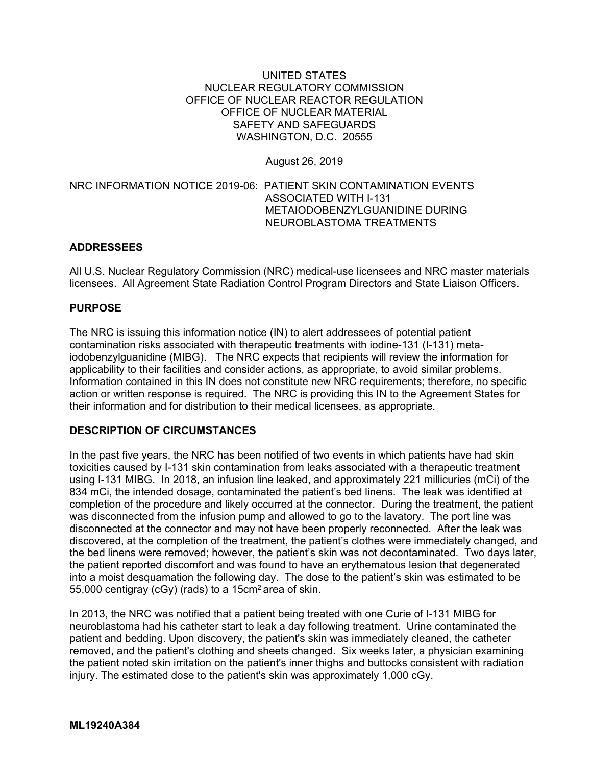#### UNITED STATES NUCLEAR REGULATORY COMMISSION OFFICE OF NUCLEAR REACTOR REGULATION OFFICE OF NUCLEAR MATERIAL SAFETY AND SAFEGUARDS WASHINGTON, D.C. 20555

### August 26, 2019

## NRC INFORMATION NOTICE 2019-06: PATIENT SKIN CONTAMINATION EVENTS ASSOCIATED WITH I-131 METAIODOBENZYLGUANIDINE DURING NEUROBLASTOMA TREATMENTS

### **ADDRESSEES**

All U.S. Nuclear Regulatory Commission (NRC) medical-use licensees and NRC master materials licensees. All Agreement State Radiation Control Program Directors and State Liaison Officers.

### **PURPOSE**

The NRC is issuing this information notice (IN) to alert addressees of potential patient contamination risks associated with therapeutic treatments with iodine-131 (I-131) metaiodobenzylguanidine (MIBG). The NRC expects that recipients will review the information for applicability to their facilities and consider actions, as appropriate, to avoid similar problems. Information contained in this IN does not constitute new NRC requirements; therefore, no specific action or written response is required. The NRC is providing this IN to the Agreement States for their information and for distribution to their medical licensees, as appropriate.

# **DESCRIPTION OF CIRCUMSTANCES**

In the past five years, the NRC has been notified of two events in which patients have had skin toxicities caused by I-131 skin contamination from leaks associated with a therapeutic treatment using I-131 MIBG. In 2018, an infusion line leaked, and approximately 221 millicuries (mCi) of the 834 mCi, the intended dosage, contaminated the patient's bed linens. The leak was identified at completion of the procedure and likely occurred at the connector. During the treatment, the patient was disconnected from the infusion pump and allowed to go to the lavatory. The port line was disconnected at the connector and may not have been properly reconnected. After the leak was discovered, at the completion of the treatment, the patient's clothes were immediately changed, and the bed linens were removed; however, the patient's skin was not decontaminated. Two days later, the patient reported discomfort and was found to have an erythematous lesion that degenerated into a moist desquamation the following day. The dose to the patient's skin was estimated to be 55,000 centigray (cGy) (rads) to a 15cm2 area of skin.

In 2013, the NRC was notified that a patient being treated with one Curie of I-131 MIBG for neuroblastoma had his catheter start to leak a day following treatment. Urine contaminated the patient and bedding. Upon discovery, the patient's skin was immediately cleaned, the catheter removed, and the patient's clothing and sheets changed. Six weeks later, a physician examining the patient noted skin irritation on the patient's inner thighs and buttocks consistent with radiation injury. The estimated dose to the patient's skin was approximately 1,000 cGy.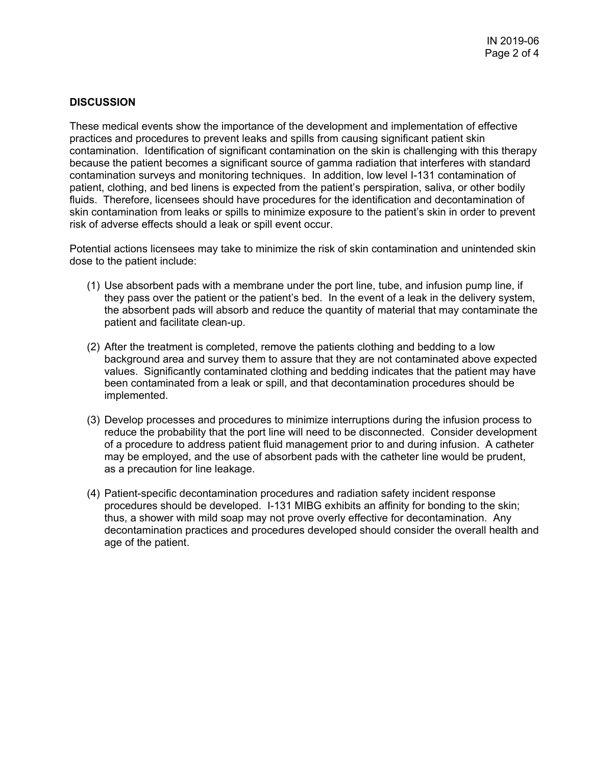## **DISCUSSION**

These medical events show the importance of the development and implementation of effective practices and procedures to prevent leaks and spills from causing significant patient skin contamination. Identification of significant contamination on the skin is challenging with this therapy because the patient becomes a significant source of gamma radiation that interferes with standard contamination surveys and monitoring techniques. In addition, low level I-131 contamination of patient, clothing, and bed linens is expected from the patient's perspiration, saliva, or other bodily fluids. Therefore, licensees should have procedures for the identification and decontamination of skin contamination from leaks or spills to minimize exposure to the patient's skin in order to prevent risk of adverse effects should a leak or spill event occur.

Potential actions licensees may take to minimize the risk of skin contamination and unintended skin dose to the patient include:

- (1) Use absorbent pads with a membrane under the port line, tube, and infusion pump line, if they pass over the patient or the patient's bed. In the event of a leak in the delivery system, the absorbent pads will absorb and reduce the quantity of material that may contaminate the patient and facilitate clean-up.
- (2) After the treatment is completed, remove the patients clothing and bedding to a low background area and survey them to assure that they are not contaminated above expected values. Significantly contaminated clothing and bedding indicates that the patient may have been contaminated from a leak or spill, and that decontamination procedures should be implemented.
- (3) Develop processes and procedures to minimize interruptions during the infusion process to reduce the probability that the port line will need to be disconnected. Consider development of a procedure to address patient fluid management prior to and during infusion. A catheter may be employed, and the use of absorbent pads with the catheter line would be prudent, as a precaution for line leakage.
- (4) Patient-specific decontamination procedures and radiation safety incident response procedures should be developed. I-131 MIBG exhibits an affinity for bonding to the skin; thus, a shower with mild soap may not prove overly effective for decontamination. Any decontamination practices and procedures developed should consider the overall health and age of the patient.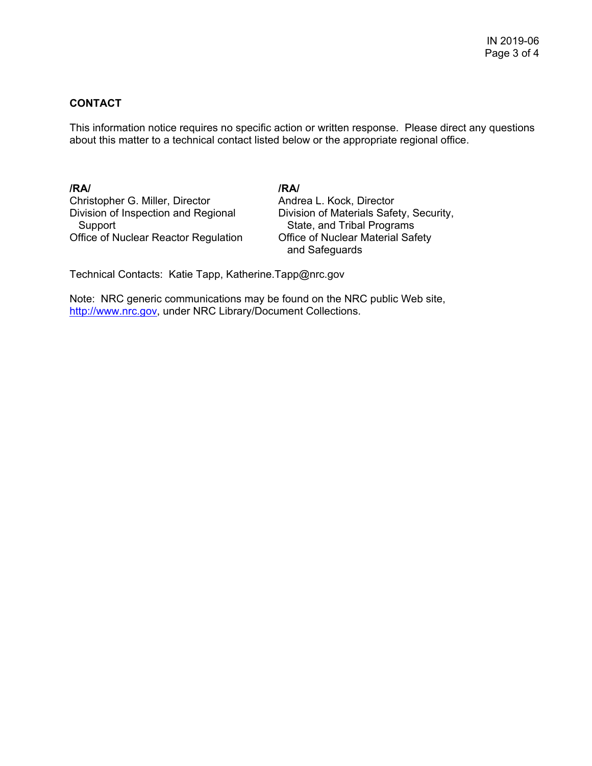# **CONTACT**

This information notice requires no specific action or written response. Please direct any questions about this matter to a technical contact listed below or the appropriate regional office.

**/RA/ /RA/**  Christopher G. Miller, Director **Andrea L. Kock, Director**  Support State, and Tribal Programs Office of Nuclear Reactor Regulation Office of Nuclear Material Safety

Division of Inspection and Regional Division of Materials Safety, Security, and Safeguards

Technical Contacts: Katie Tapp, Katherine.Tapp@nrc.gov

Note: NRC generic communications may be found on the NRC public Web site, http://www.nrc.gov, under NRC Library/Document Collections.